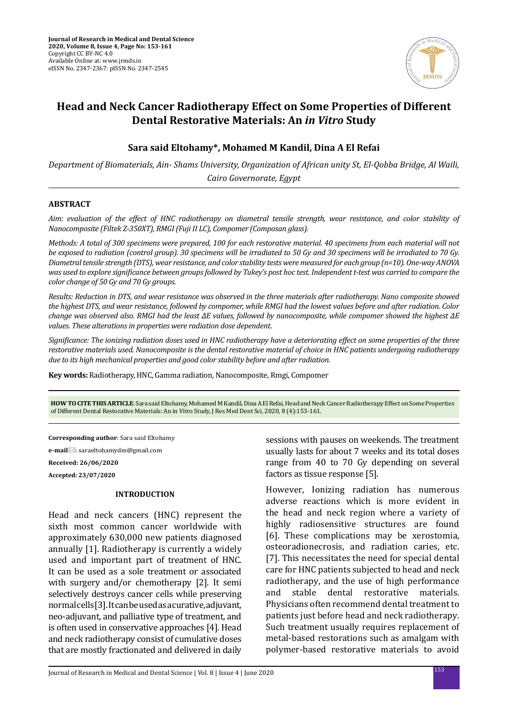

# **Head and Neck Cancer Radiotherapy Effect on Some Properties of Different Dental Restorative Materials: An** *in Vitro* **Study**

# **Sara said Eltohamy\*, Mohamed M Kandil, Dina A El Refai**

*Department of Biomaterials, Ain- Shams University, Organization of African unity St, El-Qobba Bridge, Al Waili, Cairo Governorate, Egypt*

# **ABSTRACT**

*Aim: evaluation of the effect of HNC radiotherapy on diametral tensile strength, wear resistance, and color stability of Nanocomposite (Filtek Z-350XT), RMGI (Fuji II LC), Compomer (Composan glass).*

*Methods: A total of 300 specimens were prepared, 100 for each restorative material. 40 specimens from each material will not be exposed to radiation (control group). 30 specimens will be irradiated to 50 Gy and 30 specimens will be irradiated to 70 Gy. Diametral tensile strength (DTS), wear resistance, and color stability tests were measured for each group (n=10). One-way ANOVA was used to explore significance between groups followed by Tukey's post hoc test. Independent t-test was carried to compare the color change of 50 Gy and 70 Gy groups.* 

*Results: Reduction in DTS, and wear resistance was observed in the three materials after radiotherapy. Nano composite showed the highest DTS, and wear resistance, followed by compomer, while RMGI had the lowest values before and after radiation. Color change was observed also. RMGI had the least ΔE values, followed by nanocomposite, while compomer showed the highest ΔE values. These alterations in properties were radiation dose dependent.* 

*Significance: The ionizing radiation doses used in HNC radiotherapy have a deteriorating effect on some properties of the three restorative materials used. Nanocomposite is the dental restorative material of choice in HNC patients undergoing radiotherapy due to its high mechanical properties and good color stability before and after radiation.*

**Key words:** Radiotherapy, HNC, Gamma radiation, Nanocomposite, Rmgi, Compomer

**HOW TO CITE THIS ARTICLE**: Sara said Eltohamy, Mohamed M Kandil, Dina A El Refai, Head and Neck Cancer Radiotherapy Effect on Some Properties of Different Dental Restorative Materials: An in Vitro Study, J Res Med Dent Sci, 2020, 8 (4):153-161.

**Corresponding author**: Sara said Eltohamy

**e-mail**: saraeltohamydm@gmail.com

**Received: 26/06/2020**

**Accepted: 23/07/2020**

#### **INTRODUCTION**

Head and neck cancers (HNC) represent the sixth most common cancer worldwide with approximately 630,000 new patients diagnosed annually [1]. Radiotherapy is currently a widely used and important part of treatment of HNC. It can be used as a sole treatment or associated with surgery and/or chemotherapy [2]. It semi selectively destroys cancer cells while preserving normal cells [3]. It can be used as a curative, adjuvant, neo-adjuvant, and palliative type of treatment, and is often used in conservative approaches [4]. Head and neck radiotherapy consist of cumulative doses that are mostly fractionated and delivered in daily sessions with pauses on weekends. The treatment usually lasts for about 7 weeks and its total doses range from 40 to 70 Gy depending on several factors as tissue response [5].

However, Ionizing radiation has numerous adverse reactions which is more evident in the head and neck region where a variety of highly radiosensitive structures are found [6]. These complications may be xerostomia, osteoradionecrosis, and radiation caries, etc. [7]. This necessitates the need for special dental care for HNC patients subjected to head and neck radiotherapy, and the use of high performance<br>and stable dental restorative materials. dental restorative materials. Physicians often recommend dental treatment to patients just before head and neck radiotherapy. Such treatment usually requires replacement of metal-based restorations such as amalgam with polymer-based restorative materials to avoid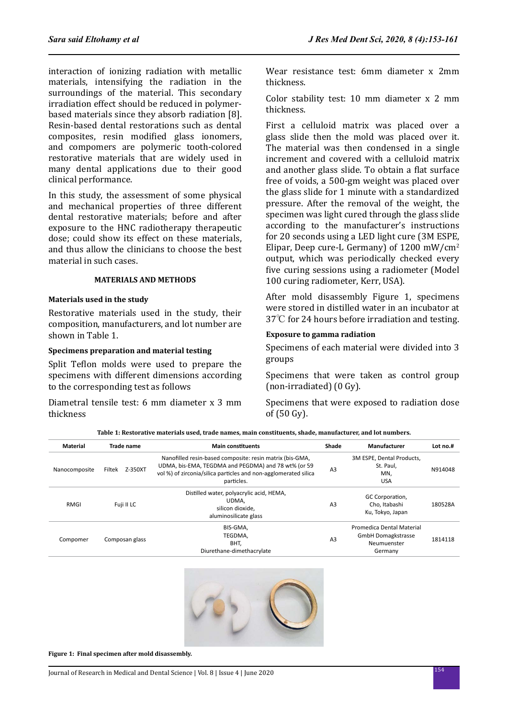interaction of ionizing radiation with metallic materials, intensifying the radiation in the surroundings of the material. This secondary irradiation effect should be reduced in polymerbased materials since they absorb radiation [8]. Resin-based dental restorations such as dental composites, resin modified glass ionomers, and compomers are polymeric tooth-colored restorative materials that are widely used in many dental applications due to their good clinical performance.

In this study, the assessment of some physical and mechanical properties of three different dental restorative materials; before and after exposure to the HNC radiotherapy therapeutic dose; could show its effect on these materials, and thus allow the clinicians to choose the best material in such cases.

#### **MATERIALS AND METHODS**

#### **Materials used in the study**

Restorative materials used in the study, their composition, manufacturers, and lot number are shown in Table 1.

# **Specimens preparation and material testing**

Split Teflon molds were used to prepare the specimens with different dimensions according to the corresponding test as follows

Diametral tensile test: 6 mm diameter x 3 mm thickness

Wear resistance test: 6mm diameter x 2mm thickness.

Color stability test: 10 mm diameter x 2 mm thickness.

First a celluloid matrix was placed over a glass slide then the mold was placed over it. The material was then condensed in a single increment and covered with a celluloid matrix and another glass slide. To obtain a flat surface free of voids, a 500-gm weight was placed over the glass slide for 1 minute with a standardized pressure. After the removal of the weight, the specimen was light cured through the glass slide according to the manufacturer's instructions for 20 seconds using a LED light cure (3M ESPE, Elipar, Deep cure-L Germany) of  $1200 \text{ mW/cm}^2$ output, which was periodically checked every five curing sessions using a radiometer (Model 100 curing radiometer, Kerr, USA).

After mold disassembly Figure 1, specimens were stored in distilled water in an incubator at 37℃ for 24 hours before irradiation and testing.

#### **Exposure to gamma radiation**

Specimens of each material were divided into 3 groups

Specimens that were taken as control group (non-irradiated) (0 Gy).

Specimens that were exposed to radiation dose of (50 Gy).

**Table 1: Restorative materials used, trade names, main constituents, shade, manufacturer, and lot numbers.**

| Material      | <b>Trade name</b> | <b>Main constituents</b>                                                                                                                                                                         | Shade          | Manufacturer                                                                     | Lot no.# |
|---------------|-------------------|--------------------------------------------------------------------------------------------------------------------------------------------------------------------------------------------------|----------------|----------------------------------------------------------------------------------|----------|
| Nanocomposite | Z-350XT<br>Filtek | Nanofilled resin-based composite: resin matrix (bis-GMA,<br>UDMA, bis-EMA, TEGDMA and PEGDMA) and 78 wt% (or 59<br>vol %) of zirconia/silica particles and non-agglomerated silica<br>particles. | A <sub>3</sub> | 3M ESPE, Dental Products,<br>St. Paul,<br>MN.<br><b>USA</b>                      | N914048  |
| <b>RMGI</b>   | Fuji II LC        | Distilled water, polyacrylic acid, HEMA,<br>UDMA.<br>silicon dioxide,<br>aluminosilicate glass                                                                                                   | A <sub>3</sub> | GC Corporation,<br>Cho. Itabashi<br>Ku, Tokyo, Japan                             | 180528A  |
| Compomer      | Composan glass    | BIS-GMA,<br>TEGDMA,<br>BHT.<br>Diurethane-dimethacrylate                                                                                                                                         | A <sub>3</sub> | Promedica Dental Material<br><b>GmbH Domagkstrasse</b><br>Neumuenster<br>Germany | 1814118  |



**Figure 1: Final specimen after mold disassembly.**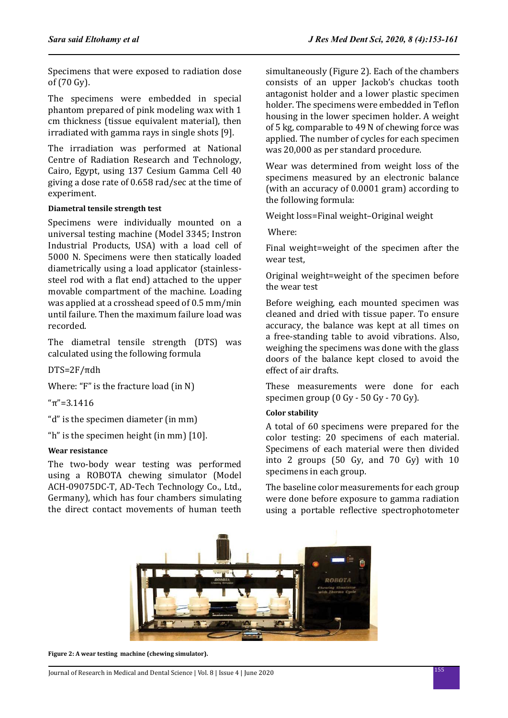Specimens that were exposed to radiation dose of (70 Gy).

The specimens were embedded in special phantom prepared of pink modeling wax with 1 cm thickness (tissue equivalent material), then irradiated with gamma rays in single shots [9].

The irradiation was performed at National Centre of Radiation Research and Technology, Cairo, Egypt, using 137 Cesium Gamma Cell 40 giving a dose rate of 0.658 rad/sec at the time of experiment.

# **Diametral tensile strength test**

Specimens were individually mounted on a universal testing machine (Model 3345; Instron Industrial Products, USA) with a load cell of 5000 N. Specimens were then statically loaded diametrically using a load applicator (stainlesssteel rod with a flat end) attached to the upper movable compartment of the machine. Loading was applied at a crosshead speed of 0.5 mm/min until failure. Then the maximum failure load was recorded.

The diametral tensile strength (DTS) was calculated using the following formula

DTS=2F/πdh

Where: "F" is the fracture load (in N)

"π"=3.1416

"d" is the specimen diameter (in mm)

"h" is the specimen height (in mm) [10].

# **Wear resistance**

The two-body wear testing was performed using a ROBOTA chewing simulator (Model ACH-09075DC-T, AD-Tech Technology Co., Ltd., Germany), which has four chambers simulating the direct contact movements of human teeth simultaneously (Figure 2). Each of the chambers consists of an upper Jackob's chuckas tooth antagonist holder and a lower plastic specimen holder. The specimens were embedded in Teflon housing in the lower specimen holder. A weight of 5 kg, comparable to 49 N of chewing force was applied. The number of cycles for each specimen was 20,000 as per standard procedure.

Wear was determined from weight loss of the specimens measured by an electronic balance (with an accuracy of 0.0001 gram) according to the following formula:

Weight loss=Final weight–Original weight

Where:

Final weight=weight of the specimen after the wear test,

Original weight=weight of the specimen before the wear test

Before weighing, each mounted specimen was cleaned and dried with tissue paper. To ensure accuracy, the balance was kept at all times on a free-standing table to avoid vibrations. Also, weighing the specimens was done with the glass doors of the balance kept closed to avoid the effect of air drafts.

These measurements were done for each specimen group (0 Gy - 50 Gy - 70 Gy).

# **Color stability**

A total of 60 specimens were prepared for the color testing: 20 specimens of each material. Specimens of each material were then divided into 2 groups (50 Gy, and 70 Gy) with 10 specimens in each group.

The baseline color measurements for each group were done before exposure to gamma radiation using a portable reflective spectrophotometer



**Figure 2: A wear testing machine (chewing simulator).**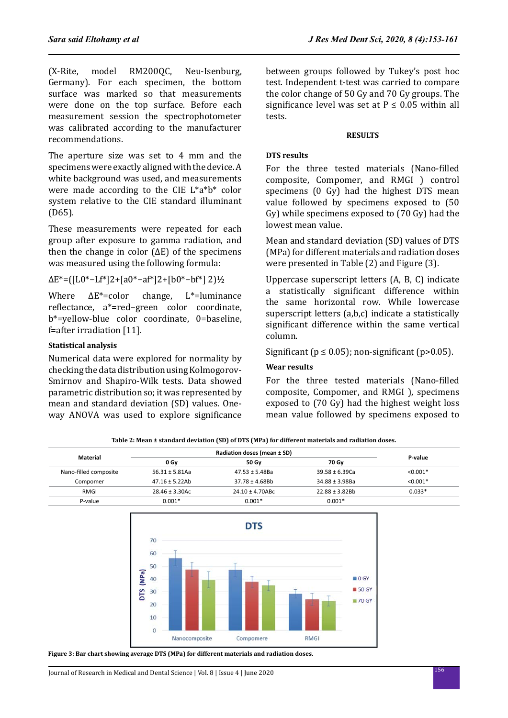(X-Rite, model RM200QC, Neu-Isenburg, Germany). For each specimen, the bottom surface was marked so that measurements were done on the top surface. Before each measurement session the spectrophotometer was calibrated according to the manufacturer recommendations.

The aperture size was set to 4 mm and the specimens were exactly aligned with the device. A white background was used, and measurements were made according to the CIE L\*a\*b\* color system relative to the CIE standard illuminant (D65).

These measurements were repeated for each group after exposure to gamma radiation, and then the change in color  $(\Delta E)$  of the specimens was measured using the following formula:

ΔE\*=([L0\*−Lf\*]2+[a0\*−af\*]2+[b0\*−bf\*] 2)½

Where  $\Delta E^*$ =color change, L<sup>\*</sup>=luminance reflectance, a\*=red–green color coordinate, b\*=yellow-blue color coordinate, 0=baseline, f=after irradiation [11].

# **Statistical analysis**

Numerical data were explored for normality by checking the data distribution using Kolmogorov-Smirnov and Shapiro-Wilk tests. Data showed parametric distribution so; it was represented by mean and standard deviation (SD) values. Oneway ANOVA was used to explore significance between groups followed by Tukey's post hoc test. Independent t-test was carried to compare the color change of 50 Gy and 70 Gy groups. The significance level was set at  $P \le 0.05$  within all tests.

# **RESULTS**

# **DTS results**

For the three tested materials (Nano-filled composite, Compomer, and RMGI ) control specimens (0 Gy) had the highest DTS mean value followed by specimens exposed to (50 Gy) while specimens exposed to (70 Gy) had the lowest mean value.

Mean and standard deviation (SD) values of DTS (MPa) for different materials and radiation doses were presented in Table (2) and Figure (3).

Uppercase superscript letters (A, B, C) indicate a statistically significant difference within the same horizontal row. While lowercase superscript letters (a,b,c) indicate a statistically significant difference within the same vertical column.

Significant ( $p \le 0.05$ ); non-significant ( $p > 0.05$ ).

# **Wear results**

For the three tested materials (Nano-filled composite, Compomer, and RMGI ), specimens exposed to (70 Gy) had the highest weight loss mean value followed by specimens exposed to

| Material              |                     | Radiation doses (mean ± SD) |                     |            |
|-----------------------|---------------------|-----------------------------|---------------------|------------|
|                       | 0 Gv                | 50 Gv                       | 70 Gv               | P-value    |
| Nano-filled composite | $56.31 \pm 5.81$ Aa | $47.53 \pm 5.48$ Ba         | $39.58 \pm 6.39$ Ca | $< 0.001*$ |
| Compomer              | $47.16 \pm 5.22$ Ab | $37.78 \pm 4.68$ Bh         | $34.88 \pm 3.98$ Ba | $< 0.001*$ |
| RMGI                  | $28.46 \pm 3.30$ Ac | $24.10 \pm 4.70$ ABc        | $22.88 \pm 3.82$ Bh | $0.033*$   |
| P-value               | $0.001*$            | $0.001*$                    | $0.001*$            |            |





**Figure 3: Bar chart showing average DTS (MPa) for different materials and radiation doses.**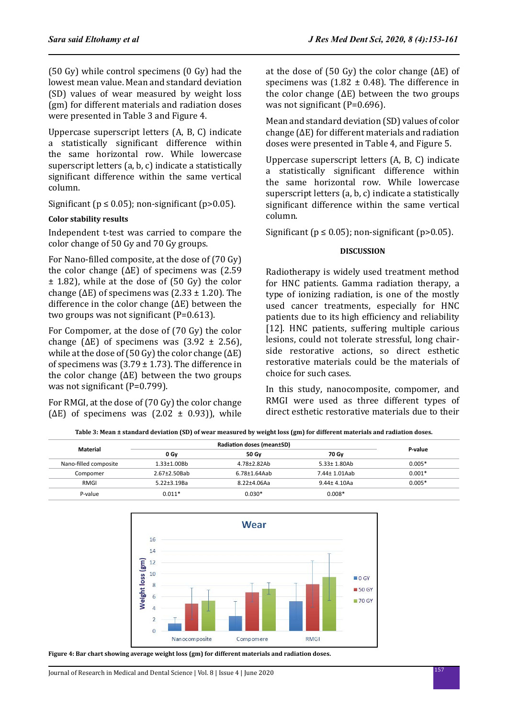(50 Gy) while control specimens (0 Gy) had the lowest mean value. Mean and standard deviation (SD) values of wear measured by weight loss (gm) for different materials and radiation doses were presented in Table 3 and Figure 4.

Uppercase superscript letters (A, B, C) indicate a statistically significant difference within the same horizontal row. While lowercase superscript letters (a, b, c) indicate a statistically significant difference within the same vertical column.

Significant ( $p \le 0.05$ ); non-significant ( $p > 0.05$ ).

# **Color stability results**

Independent t-test was carried to compare the color change of 50 Gy and 70 Gy groups.

For Nano-filled composite, at the dose of (70 Gy) the color change  $(\Delta E)$  of specimens was (2.59) ± 1.82), while at the dose of (50 Gy) the color change ( $\Delta E$ ) of specimens was (2.33  $\pm$  1.20). The difference in the color change (ΔE) between the two groups was not significant (P=0.613).

For Compomer, at the dose of (70 Gy) the color change ( $\Delta E$ ) of specimens was (3.92  $\pm$  2.56), while at the dose of (50 Gy) the color change  $(\Delta E)$ of specimens was  $(3.79 \pm 1.73)$ . The difference in the color change  $(\Delta E)$  between the two groups was not significant (P=0.799).

For RMGI, at the dose of (70 Gy) the color change ( $\Delta E$ ) of specimens was (2.02  $\pm$  0.93)), while at the dose of (50 Gy) the color change (ΔE) of specimens was  $(1.82 \pm 0.48)$ . The difference in the color change  $(\Delta E)$  between the two groups was not significant (P=0.696).

Mean and standard deviation (SD) values of color change (ΔE) for different materials and radiation doses were presented in Table 4, and Figure 5.

Uppercase superscript letters (A, B, C) indicate a statistically significant difference within the same horizontal row. While lowercase superscript letters (a, b, c) indicate a statistically significant difference within the same vertical column.

Significant ( $p \le 0.05$ ); non-significant ( $p > 0.05$ ).

# **DISCUSSION**

Radiotherapy is widely used treatment method for HNC patients. Gamma radiation therapy, a type of ionizing radiation, is one of the mostly used cancer treatments, especially for HNC patients due to its high efficiency and reliability [12]. HNC patients, suffering multiple carious lesions, could not tolerate stressful, long chairside restorative actions, so direct esthetic restorative materials could be the materials of choice for such cases.

In this study, nanocomposite, compomer, and RMGI were used as three different types of direct esthetic restorative materials due to their

| Material              |                     | <b>Radiation doses (mean±SD)</b> |                    |          |
|-----------------------|---------------------|----------------------------------|--------------------|----------|
|                       | 0 Gv                | 50 Gv                            | 70 Gv              | P-value  |
| Nano-filled composite | $1.33 \pm 1.00$ Bb  | $4.78 + 2.82Ab$                  | $5.33 \pm 1.80$ Ab | $0.005*$ |
| Compomer              | $2.67 \pm 2.50$ Bab | $6.78 \pm 1.64$ Aab              | 7.44± 1.01Aab      | $0.001*$ |

RMGI 5.22±3.19Ba 8.22±4.06Aa 9.44± 4.10Aa 0.005\*

P-value 0.011\* 0.0000 0.0000 0.0000 0.0008 0.008 0.008 0.008 0.008 0.008 0.008 0.008 0.008 0.000 0.000 0.000 0



**Figure 4: Bar chart showing average weight loss (gm) for different materials and radiation doses.**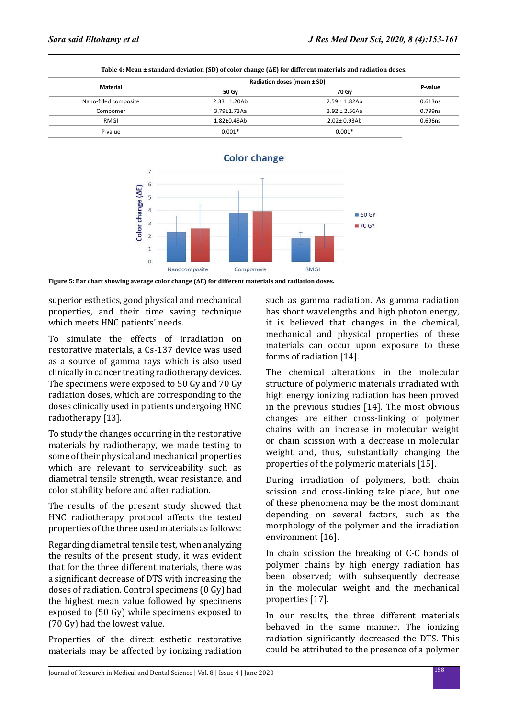|                       | Radiation doses (mean ± SD) |                    |         |
|-----------------------|-----------------------------|--------------------|---------|
| Material              | 50 Gv                       | 70 Gv              | P-value |
| Nano-filled composite | $2.33 \pm 1.20$ Ab          | $2.59 \pm 1.82$ Ab | 0.613ns |
| Compomer              | $3.79 + 1.73$ Aa            | $3.92 \pm 2.56$ Aa | 0.799ns |
| <b>RMGI</b>           | $1.82 \pm 0.48$ Ab          | $2.02 \pm 0.93$ Ab | 0.696ns |
| P-value               | $0.001*$                    | $0.001*$           |         |

**Table 4: Mean ± standard deviation (SD) of color change (ΔE) for different materials and radiation doses.**



**Figure 5: Bar chart showing average color change (ΔE) for different materials and radiation doses.**

superior esthetics, good physical and mechanical properties, and their time saving technique which meets HNC patients' needs.

To simulate the effects of irradiation on restorative materials, a Cs-137 device was used as a source of gamma rays which is also used clinically in cancer treating radiotherapy devices. The specimens were exposed to 50 Gy and 70 Gy radiation doses, which are corresponding to the doses clinically used in patients undergoing HNC radiotherapy [13].

To study the changes occurring in the restorative materials by radiotherapy, we made testing to some of their physical and mechanical properties which are relevant to serviceability such as diametral tensile strength, wear resistance, and color stability before and after radiation.

The results of the present study showed that HNC radiotherapy protocol affects the tested properties of the three used materials as follows:

Regarding diametral tensile test, when analyzing the results of the present study, it was evident that for the three different materials, there was a significant decrease of DTS with increasing the doses of radiation. Control specimens (0 Gy) had the highest mean value followed by specimens exposed to (50 Gy) while specimens exposed to (70 Gy) had the lowest value.

Properties of the direct esthetic restorative materials may be affected by ionizing radiation such as gamma radiation. As gamma radiation has short wavelengths and high photon energy, it is believed that changes in the chemical, mechanical and physical properties of these materials can occur upon exposure to these forms of radiation [14].

The chemical alterations in the molecular structure of polymeric materials irradiated with high energy ionizing radiation has been proved in the previous studies [14]. The most obvious changes are either cross-linking of polymer chains with an increase in molecular weight or chain scission with a decrease in molecular weight and, thus, substantially changing the properties of the polymeric materials [15].

During irradiation of polymers, both chain scission and cross-linking take place, but one of these phenomena may be the most dominant depending on several factors, such as the morphology of the polymer and the irradiation environment [16].

In chain scission the breaking of C-C bonds of polymer chains by high energy radiation has been observed: with subsequently decrease in the molecular weight and the mechanical properties [17].

In our results, the three different materials behaved in the same manner. The ionizing radiation significantly decreased the DTS. This could be attributed to the presence of a polymer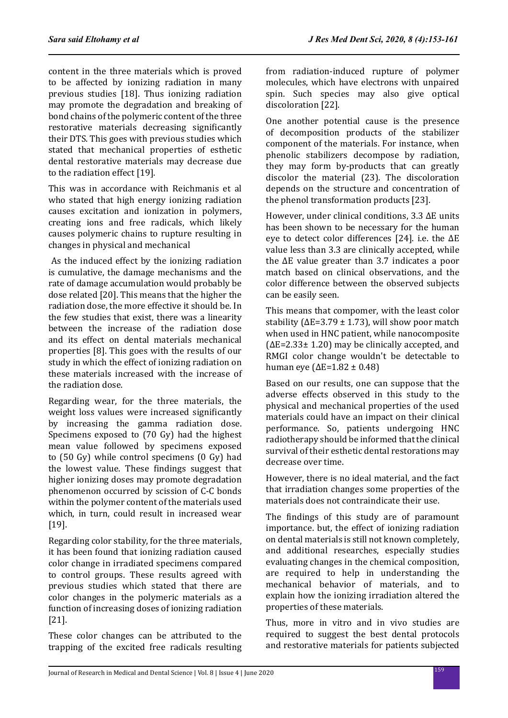content in the three materials which is proved to be affected by ionizing radiation in many previous studies [18]. Thus ionizing radiation may promote the degradation and breaking of bond chains of the polymeric content of the three restorative materials decreasing significantly their DTS. This goes with previous studies which stated that mechanical properties of esthetic dental restorative materials may decrease due to the radiation effect [19].

This was in accordance with Reichmanis et al who stated that high energy ionizing radiation causes excitation and ionization in polymers, creating ions and free radicals, which likely causes polymeric chains to rupture resulting in changes in physical and mechanical

 As the induced effect by the ionizing radiation is cumulative, the damage mechanisms and the rate of damage accumulation would probably be dose related [20]. This means that the higher the radiation dose, the more effective it should be. In the few studies that exist, there was a linearity between the increase of the radiation dose and its effect on dental materials mechanical properties [8]. This goes with the results of our study in which the effect of ionizing radiation on these materials increased with the increase of the radiation dose.

Regarding wear, for the three materials, the weight loss values were increased significantly by increasing the gamma radiation dose. Specimens exposed to (70 Gy) had the highest mean value followed by specimens exposed to (50 Gy) while control specimens (0 Gy) had the lowest value. These findings suggest that higher ionizing doses may promote degradation phenomenon occurred by scission of C-C bonds within the polymer content of the materials used which, in turn, could result in increased wear [19].

Regarding color stability, for the three materials, it has been found that ionizing radiation caused color change in irradiated specimens compared to control groups. These results agreed with previous studies which stated that there are color changes in the polymeric materials as a function of increasing doses of ionizing radiation [21].

These color changes can be attributed to the trapping of the excited free radicals resulting from radiation-induced rupture of polymer molecules, which have electrons with unpaired spin. Such species may also give optical discoloration [22].

One another potential cause is the presence of decomposition products of the stabilizer component of the materials. For instance, when phenolic stabilizers decompose by radiation, they may form by-products that can greatly discolor the material (23). The discoloration depends on the structure and concentration of the phenol transformation products [23].

However, under clinical conditions, 3.3 ΔE units has been shown to be necessary for the human eye to detect color differences [24]. i.e. the ΔE value less than 3.3 are clinically accepted, while the ΔE value greater than 3.7 indicates a poor match based on clinical observations, and the color difference between the observed subjects can be easily seen.

This means that compomer, with the least color stability ( $\Delta E = 3.79 \pm 1.73$ ), will show poor match when used in HNC patient, while nanocomposite  $(\Delta E=2.33\pm 1.20)$  may be clinically accepted, and RMGI color change wouldn't be detectable to human eye ( $ΔE=1.82 ± 0.48$ )

Based on our results, one can suppose that the adverse effects observed in this study to the physical and mechanical properties of the used materials could have an impact on their clinical performance. So, patients undergoing HNC radiotherapy should be informed that the clinical survival of their esthetic dental restorations may decrease over time.

However, there is no ideal material, and the fact that irradiation changes some properties of the materials does not contraindicate their use.

The findings of this study are of paramount importance. but, the effect of ionizing radiation on dental materials is still not known completely, and additional researches, especially studies evaluating changes in the chemical composition, are required to help in understanding the mechanical behavior of materials, and to explain how the ionizing irradiation altered the properties of these materials.

Thus, more in vitro and in vivo studies are required to suggest the best dental protocols and restorative materials for patients subjected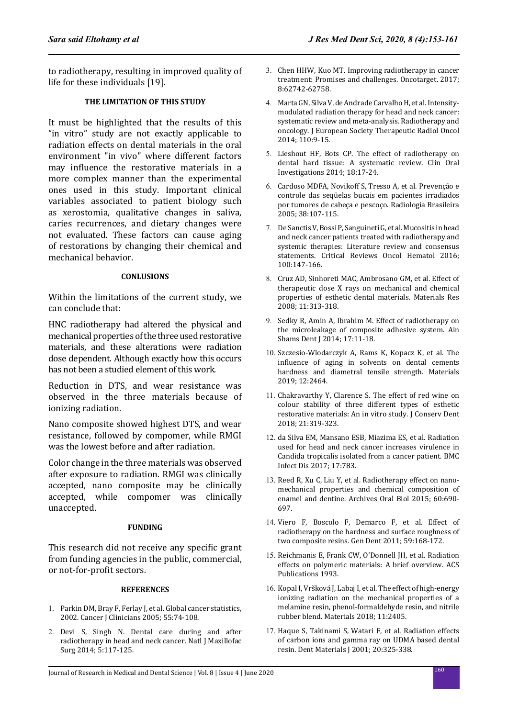to radiotherapy, resulting in improved quality of life for these individuals [19].

# **THE LIMITATION OF THIS STUDY**

It must be highlighted that the results of this "in vitro" study are not exactly applicable to radiation effects on dental materials in the oral environment "in vivo" where different factors may influence the restorative materials in a more complex manner than the experimental ones used in this study. Important clinical variables associated to patient biology such as xerostomia, qualitative changes in saliva, caries recurrences, and dietary changes were not evaluated. These factors can cause aging of restorations by changing their chemical and mechanical behavior.

#### **CONLUSIONS**

Within the limitations of the current study, we can conclude that:

HNC radiotherapy had altered the physical and mechanical properties of the three used restorative materials, and these alterations were radiation dose dependent. Although exactly how this occurs has not been a studied element of this work.

Reduction in DTS, and wear resistance was observed in the three materials because of ionizing radiation.

Nano composite showed highest DTS, and wear resistance, followed by compomer, while RMGI was the lowest before and after radiation.

Color change in the three materials was observed after exposure to radiation. RMGI was clinically accepted, nano composite may be clinically accepted, while compomer was clinically unaccepted.

#### **FUNDING**

This research did not receive any specific grant from funding agencies in the public, commercial, or not-for-profit sectors.

#### **REFERENCES**

- 1. Parkin DM, Bray F, Ferlay J, et al. Global cancer statistics, 2002. Cancer J Clinicians 2005; 55:74-108.
- 2. Devi S, Singh N. Dental care during and after radiotherapy in head and neck cancer. Natl J Maxillofac Surg 2014; 5:117-125.
- 3. Chen HHW, Kuo MT. Improving radiotherapy in cancer treatment: Promises and challenges. Oncotarget. 2017; 8:62742-62758.
- 4. Marta GN, Silva V, de Andrade Carvalho H, et al. Intensitymodulated radiation therapy for head and neck cancer: systematic review and meta-analysis. Radiotherapy and oncology. J European Society Therapeutic Radiol Oncol 2014; 110:9-15.
- 5. Lieshout HF, Bots CP. The effect of radiotherapy on dental hard tissue: A systematic review. Clin Oral Investigations 2014; 18:17-24.
- 6. Cardoso MDFA, Novikoff S, Tresso A, et al. Prevenção e controle das seqüelas bucais em pacientes irradiados por tumores de cabeça e pescoço. Radiologia Brasileira 2005; 38:107-115.
- 7. De Sanctis V, Bossi P, Sanguineti G, et al. Mucositis in head and neck cancer patients treated with radiotherapy and systemic therapies: Literature review and consensus statements. Critical Reviews Oncol Hematol 2016; 100:147-166.
- 8. Cruz AD, Sinhoreti MAC, Ambrosano GM, et al. Effect of therapeutic dose X rays on mechanical and chemical properties of esthetic dental materials. Materials Res 2008; 11:313-318.
- 9. Sedky R, Amin A, Ibrahim M. Effect of radiotherapy on the microleakage of composite adhesive system. Ain Shams Dent J 2014; 17:11-18.
- 10. Szczesio-Wlodarczyk A, Rams K, Kopacz K, et al. The influence of aging in solvents on dental cements hardness and diametral tensile strength. Materials 2019; 12:2464.
- 11. Chakravarthy Y, Clarence S. The effect of red wine on colour stability of three different types of esthetic restorative materials: An in vitro study. J Conserv Dent 2018; 21:319-323.
- 12. da Silva EM, Mansano ESB, Miazima ES, et al. Radiation used for head and neck cancer increases virulence in Candida tropicalis isolated from a cancer patient. BMC Infect Dis 2017; 17:783.
- 13. Reed R, Xu C, Liu Y, et al. Radiotherapy effect on nanomechanical properties and chemical composition of enamel and dentine. Archives Oral Biol 2015; 60:690- 697.
- 14. Viero F, Boscolo F, Demarco F, et al. Effect of radiotherapy on the hardness and surface roughness of two composite resins. Gen Dent 2011; 59:168-172.
- 15. Reichmanis E, Frank CW, O'Donnell JH, et al. Radiation effects on polymeric materials: A brief overview. ACS Publications 1993.
- 16. Kopal I, Vršková J, Labaj I, et al. The effect of high-energy ionizing radiation on the mechanical properties of a melamine resin, phenol-formaldehyde resin, and nitrile rubber blend. Materials 2018; 11:2405.
- 17. Haque S, Takinami S, Watari F, et al. Radiation effects of carbon ions and gamma ray on UDMA based dental resin. Dent Materials J 2001; 20:325-338.